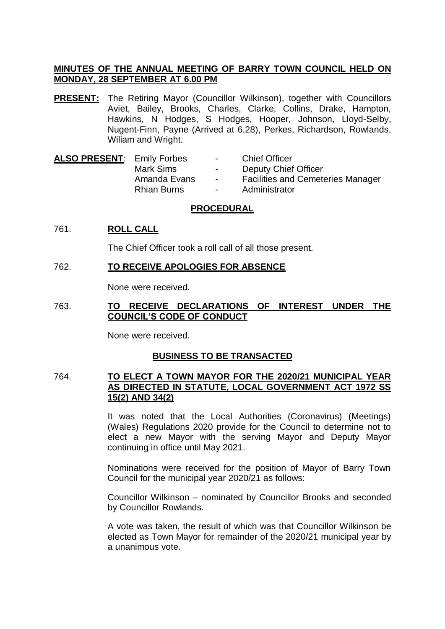# **MINUTES OF THE ANNUAL MEETING OF BARRY TOWN COUNCIL HELD ON MONDAY, 28 SEPTEMBER AT 6.00 PM**

- **PRESENT:** The Retiring Mayor (Councillor Wilkinson), together with Councillors Aviet, Bailey, Brooks, Charles, Clarke, Collins, Drake, Hampton, Hawkins, N Hodges, S Hodges, Hooper, Johnson, Lloyd-Selby, Nugent-Finn, Payne (Arrived at 6.28), Perkes, Richardson, Rowlands, Wiliam and Wright.
- ALSO PRESENT: Emily Forbes Chief Officer Mark Sims - Deputy Chief Officer Amanda Evans - Facilities and Cemeteries Manager Rhian Burns - Administrator

### **PROCEDURAL**

# 761. **ROLL CALL**

The Chief Officer took a roll call of all those present.

# 762. **TO RECEIVE APOLOGIES FOR ABSENCE**

None were received.

# 763. **TO RECEIVE DECLARATIONS OF INTEREST UNDER THE COUNCIL'S CODE OF CONDUCT**

None were received.

# **BUSINESS TO BE TRANSACTED**

### 764. **TO ELECT A TOWN MAYOR FOR THE 2020/21 MUNICIPAL YEAR AS DIRECTED IN STATUTE, LOCAL GOVERNMENT ACT 1972 SS 15(2) AND 34(2)**

It was noted that the Local Authorities (Coronavirus) (Meetings) (Wales) Regulations 2020 provide for the Council to determine not to elect a new Mayor with the serving Mayor and Deputy Mayor continuing in office until May 2021.

Nominations were received for the position of Mayor of Barry Town Council for the municipal year 2020/21 as follows:

Councillor Wilkinson – nominated by Councillor Brooks and seconded by Councillor Rowlands.

A vote was taken, the result of which was that Councillor Wilkinson be elected as Town Mayor for remainder of the 2020/21 municipal year by a unanimous vote.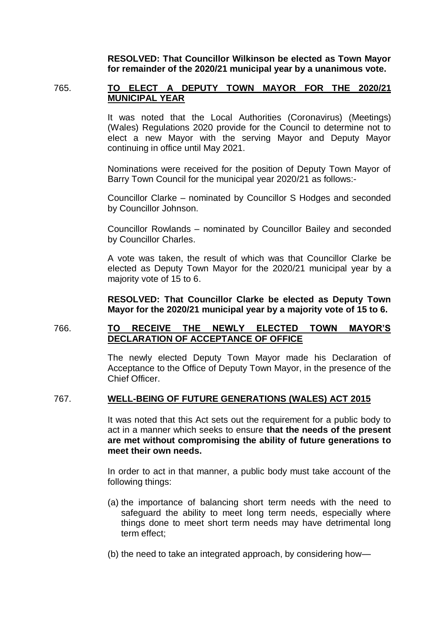**RESOLVED: That Councillor Wilkinson be elected as Town Mayor for remainder of the 2020/21 municipal year by a unanimous vote.**

# 765. **TO ELECT A DEPUTY TOWN MAYOR FOR THE 2020/21 MUNICIPAL YEAR**

It was noted that the Local Authorities (Coronavirus) (Meetings) (Wales) Regulations 2020 provide for the Council to determine not to elect a new Mayor with the serving Mayor and Deputy Mayor continuing in office until May 2021.

Nominations were received for the position of Deputy Town Mayor of Barry Town Council for the municipal year 2020/21 as follows:-

Councillor Clarke – nominated by Councillor S Hodges and seconded by Councillor Johnson.

Councillor Rowlands – nominated by Councillor Bailey and seconded by Councillor Charles.

A vote was taken, the result of which was that Councillor Clarke be elected as Deputy Town Mayor for the 2020/21 municipal year by a majority vote of 15 to 6.

**RESOLVED: That Councillor Clarke be elected as Deputy Town Mayor for the 2020/21 municipal year by a majority vote of 15 to 6.**

# 766. **TO RECEIVE THE NEWLY ELECTED TOWN MAYOR'S DECLARATION OF ACCEPTANCE OF OFFICE**

The newly elected Deputy Town Mayor made his Declaration of Acceptance to the Office of Deputy Town Mayor, in the presence of the Chief Officer.

#### 767. **WELL-BEING OF FUTURE GENERATIONS (WALES) ACT 2015**

It was noted that this Act sets out the requirement for a public body to act in a manner which seeks to ensure **that the needs of the present are met without compromising the ability of future generations to meet their own needs.**

In order to act in that manner, a public body must take account of the following things:

- (a) the importance of balancing short term needs with the need to safeguard the ability to meet long term needs, especially where things done to meet short term needs may have detrimental long term effect;
- (b) the need to take an integrated approach, by considering how—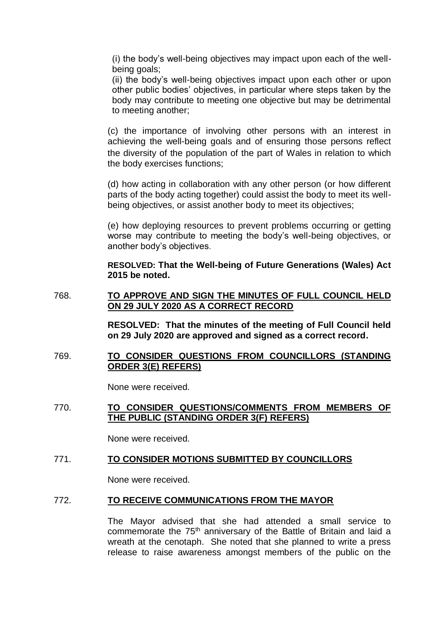(i) the body's well-being objectives may impact upon each of the wellbeing goals;

(ii) the body's well-being objectives impact upon each other or upon other public bodies' objectives, in particular where steps taken by the body may contribute to meeting one objective but may be detrimental to meeting another;

(c) the importance of involving other persons with an interest in achieving the well-being goals and of ensuring those persons reflect the diversity of the population of the part of Wales in relation to which the body exercises functions;

(d) how acting in collaboration with any other person (or how different parts of the body acting together) could assist the body to meet its wellbeing objectives, or assist another body to meet its objectives;

(e) how deploying resources to prevent problems occurring or getting worse may contribute to meeting the body's well-being objectives, or another body's objectives.

**RESOLVED: That the Well-being of Future Generations (Wales) Act 2015 be noted.**

### 768. **TO APPROVE AND SIGN THE MINUTES OF FULL COUNCIL HELD ON 29 JULY 2020 AS A CORRECT RECORD**

**RESOLVED: That the minutes of the meeting of Full Council held on 29 July 2020 are approved and signed as a correct record.**

769. **TO CONSIDER QUESTIONS FROM COUNCILLORS (STANDING ORDER 3(E) REFERS)**

None were received.

### 770. **TO CONSIDER QUESTIONS/COMMENTS FROM MEMBERS OF THE PUBLIC (STANDING ORDER 3(F) REFERS)**

None were received.

#### 771. **TO CONSIDER MOTIONS SUBMITTED BY COUNCILLORS**

None were received.

#### 772. **TO RECEIVE COMMUNICATIONS FROM THE MAYOR**

The Mayor advised that she had attended a small service to commemorate the 75<sup>th</sup> anniversary of the Battle of Britain and laid a wreath at the cenotaph. She noted that she planned to write a press release to raise awareness amongst members of the public on the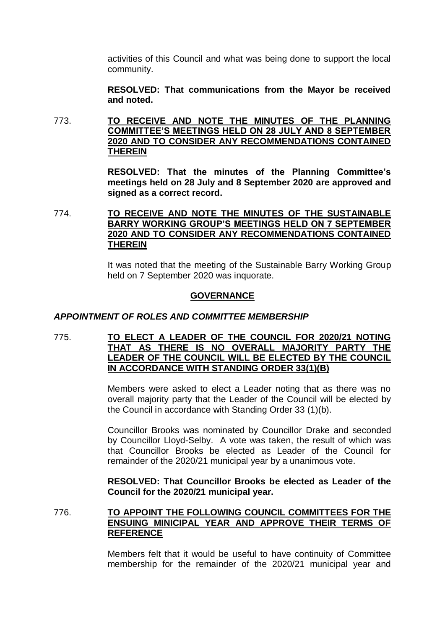activities of this Council and what was being done to support the local community.

**RESOLVED: That communications from the Mayor be received and noted.**

773. **TO RECEIVE AND NOTE THE MINUTES OF THE PLANNING COMMITTEE'S MEETINGS HELD ON 28 JULY AND 8 SEPTEMBER 2020 AND TO CONSIDER ANY RECOMMENDATIONS CONTAINED THEREIN**

> **RESOLVED: That the minutes of the Planning Committee's meetings held on 28 July and 8 September 2020 are approved and signed as a correct record.**

774. **TO RECEIVE AND NOTE THE MINUTES OF THE SUSTAINABLE BARRY WORKING GROUP'S MEETINGS HELD ON 7 SEPTEMBER 2020 AND TO CONSIDER ANY RECOMMENDATIONS CONTAINED THEREIN**

> It was noted that the meeting of the Sustainable Barry Working Group held on 7 September 2020 was inquorate.

### **GOVERNANCE**

#### *APPOINTMENT OF ROLES AND COMMITTEE MEMBERSHIP*

775. **TO ELECT A LEADER OF THE COUNCIL FOR 2020/21 NOTING THAT AS THERE IS NO OVERALL MAJORITY PARTY THE LEADER OF THE COUNCIL WILL BE ELECTED BY THE COUNCIL IN ACCORDANCE WITH STANDING ORDER 33(1)(B)**

> Members were asked to elect a Leader noting that as there was no overall majority party that the Leader of the Council will be elected by the Council in accordance with Standing Order 33 (1)(b).

> Councillor Brooks was nominated by Councillor Drake and seconded by Councillor Lloyd-Selby. A vote was taken, the result of which was that Councillor Brooks be elected as Leader of the Council for remainder of the 2020/21 municipal year by a unanimous vote.

> **RESOLVED: That Councillor Brooks be elected as Leader of the Council for the 2020/21 municipal year.**

#### 776. **TO APPOINT THE FOLLOWING COUNCIL COMMITTEES FOR THE ENSUING MINICIPAL YEAR AND APPROVE THEIR TERMS OF REFERENCE**

Members felt that it would be useful to have continuity of Committee membership for the remainder of the 2020/21 municipal year and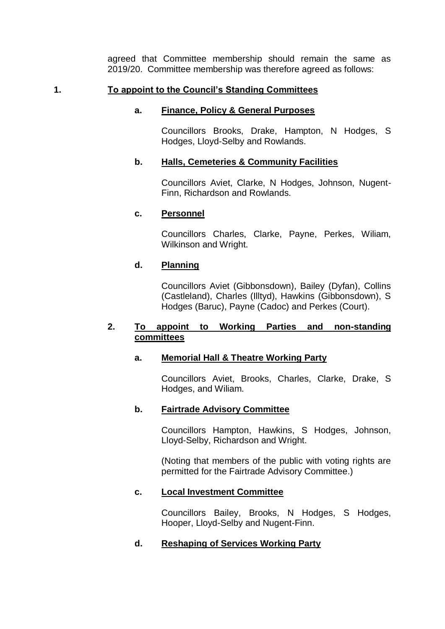agreed that Committee membership should remain the same as 2019/20. Committee membership was therefore agreed as follows:

# **1. To appoint to the Council's Standing Committees**

# **a. Finance, Policy & General Purposes**

Councillors Brooks, Drake, Hampton, N Hodges, S Hodges, Lloyd-Selby and Rowlands.

# **b. Halls, Cemeteries & Community Facilities**

Councillors Aviet, Clarke, N Hodges, Johnson, Nugent-Finn, Richardson and Rowlands.

# **c. Personnel**

Councillors Charles, Clarke, Payne, Perkes, Wiliam, Wilkinson and Wright.

# **d. Planning**

Councillors Aviet (Gibbonsdown), Bailey (Dyfan), Collins (Castleland), Charles (Illtyd), Hawkins (Gibbonsdown), S Hodges (Baruc), Payne (Cadoc) and Perkes (Court).

# **2. To appoint to Working Parties and non-standing committees**

# **a. Memorial Hall & Theatre Working Party**

Councillors Aviet, Brooks, Charles, Clarke, Drake, S Hodges, and Wiliam.

# **b. Fairtrade Advisory Committee**

Councillors Hampton, Hawkins, S Hodges, Johnson, Lloyd-Selby, Richardson and Wright.

(Noting that members of the public with voting rights are permitted for the Fairtrade Advisory Committee.)

# **c. Local Investment Committee**

Councillors Bailey, Brooks, N Hodges, S Hodges, Hooper, Lloyd-Selby and Nugent-Finn.

# **d. Reshaping of Services Working Party**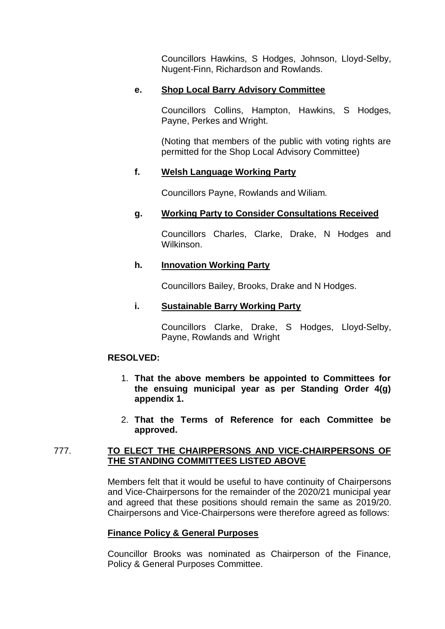Councillors Hawkins, S Hodges, Johnson, Lloyd-Selby, Nugent-Finn, Richardson and Rowlands.

# **e. Shop Local Barry Advisory Committee**

Councillors Collins, Hampton, Hawkins, S Hodges, Payne, Perkes and Wright.

(Noting that members of the public with voting rights are permitted for the Shop Local Advisory Committee)

# **f. Welsh Language Working Party**

Councillors Payne, Rowlands and Wiliam.

# **g. Working Party to Consider Consultations Received**

Councillors Charles, Clarke, Drake, N Hodges and Wilkinson.

# **h. Innovation Working Party**

Councillors Bailey, Brooks, Drake and N Hodges.

# **i. Sustainable Barry Working Party**

Councillors Clarke, Drake, S Hodges, Lloyd-Selby, Payne, Rowlands and Wright

# **RESOLVED:**

- 1. **That the above members be appointed to Committees for the ensuing municipal year as per Standing Order 4(g) appendix 1.**
- 2. **That the Terms of Reference for each Committee be approved.**

# 777. **TO ELECT THE CHAIRPERSONS AND VICE-CHAIRPERSONS OF THE STANDING COMMITTEES LISTED ABOVE**

Members felt that it would be useful to have continuity of Chairpersons and Vice-Chairpersons for the remainder of the 2020/21 municipal year and agreed that these positions should remain the same as 2019/20. Chairpersons and Vice-Chairpersons were therefore agreed as follows:

# **Finance Policy & General Purposes**

Councillor Brooks was nominated as Chairperson of the Finance, Policy & General Purposes Committee.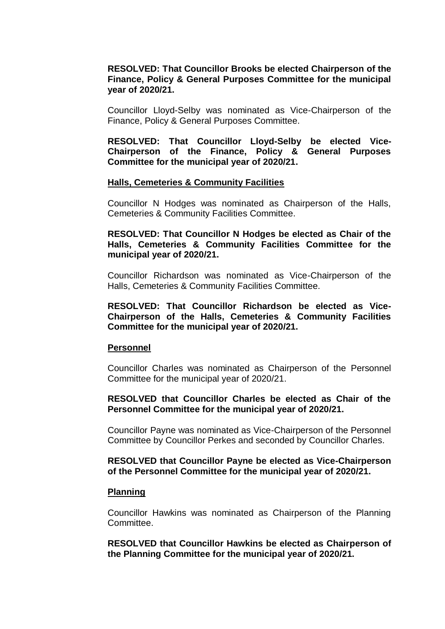### **RESOLVED: That Councillor Brooks be elected Chairperson of the Finance, Policy & General Purposes Committee for the municipal year of 2020/21.**

Councillor Lloyd-Selby was nominated as Vice-Chairperson of the Finance, Policy & General Purposes Committee.

**RESOLVED: That Councillor Lloyd-Selby be elected Vice-Chairperson of the Finance, Policy & General Purposes Committee for the municipal year of 2020/21.**

#### **Halls, Cemeteries & Community Facilities**

Councillor N Hodges was nominated as Chairperson of the Halls, Cemeteries & Community Facilities Committee.

### **RESOLVED: That Councillor N Hodges be elected as Chair of the Halls, Cemeteries & Community Facilities Committee for the municipal year of 2020/21.**

Councillor Richardson was nominated as Vice-Chairperson of the Halls, Cemeteries & Community Facilities Committee.

### **RESOLVED: That Councillor Richardson be elected as Vice-Chairperson of the Halls, Cemeteries & Community Facilities Committee for the municipal year of 2020/21.**

#### **Personnel**

Councillor Charles was nominated as Chairperson of the Personnel Committee for the municipal year of 2020/21.

#### **RESOLVED that Councillor Charles be elected as Chair of the Personnel Committee for the municipal year of 2020/21.**

Councillor Payne was nominated as Vice-Chairperson of the Personnel Committee by Councillor Perkes and seconded by Councillor Charles.

#### **RESOLVED that Councillor Payne be elected as Vice-Chairperson of the Personnel Committee for the municipal year of 2020/21.**

#### **Planning**

Councillor Hawkins was nominated as Chairperson of the Planning Committee.

**RESOLVED that Councillor Hawkins be elected as Chairperson of the Planning Committee for the municipal year of 2020/21.**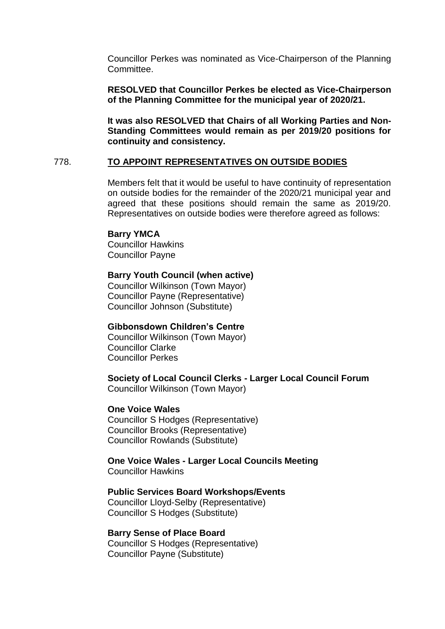Councillor Perkes was nominated as Vice-Chairperson of the Planning Committee.

**RESOLVED that Councillor Perkes be elected as Vice-Chairperson of the Planning Committee for the municipal year of 2020/21.**

**It was also RESOLVED that Chairs of all Working Parties and Non-Standing Committees would remain as per 2019/20 positions for continuity and consistency.**

#### 778. **TO APPOINT REPRESENTATIVES ON OUTSIDE BODIES**

Members felt that it would be useful to have continuity of representation on outside bodies for the remainder of the 2020/21 municipal year and agreed that these positions should remain the same as 2019/20. Representatives on outside bodies were therefore agreed as follows:

#### **Barry YMCA**

Councillor Hawkins Councillor Payne

# **Barry Youth Council (when active)**

Councillor Wilkinson (Town Mayor) Councillor Payne (Representative) Councillor Johnson (Substitute)

### **Gibbonsdown Children's Centre**

Councillor Wilkinson (Town Mayor) Councillor Clarke Councillor Perkes

### **Society of Local Council Clerks - Larger Local Council Forum**

Councillor Wilkinson (Town Mayor)

#### **One Voice Wales**

Councillor S Hodges (Representative) Councillor Brooks (Representative) Councillor Rowlands (Substitute)

**One Voice Wales - Larger Local Councils Meeting** Councillor Hawkins

# **Public Services Board Workshops/Events**

Councillor Lloyd-Selby (Representative) Councillor S Hodges (Substitute)

#### **Barry Sense of Place Board**

Councillor S Hodges (Representative) Councillor Payne (Substitute)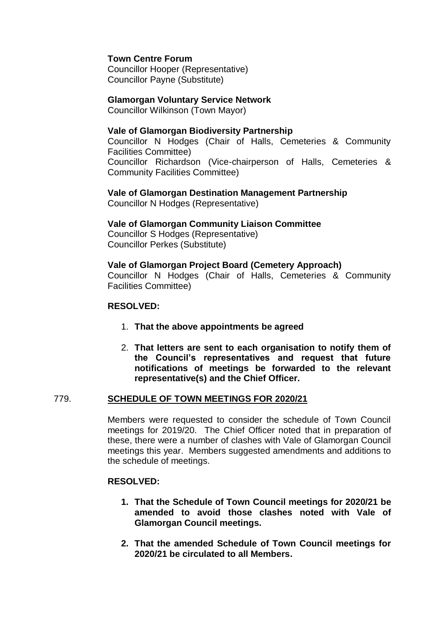# **Town Centre Forum**

Councillor Hooper (Representative) Councillor Payne (Substitute)

### **Glamorgan Voluntary Service Network**

Councillor Wilkinson (Town Mayor)

### **Vale of Glamorgan Biodiversity Partnership**

Councillor N Hodges (Chair of Halls, Cemeteries & Community Facilities Committee) Councillor Richardson (Vice-chairperson of Halls, Cemeteries & Community Facilities Committee)

**Vale of Glamorgan Destination Management Partnership** Councillor N Hodges (Representative)

**Vale of Glamorgan Community Liaison Committee**

Councillor S Hodges (Representative) Councillor Perkes (Substitute)

**Vale of Glamorgan Project Board (Cemetery Approach)** Councillor N Hodges (Chair of Halls, Cemeteries & Community Facilities Committee)

# **RESOLVED:**

- 1. **That the above appointments be agreed**
- 2. **That letters are sent to each organisation to notify them of the Council's representatives and request that future notifications of meetings be forwarded to the relevant representative(s) and the Chief Officer.**

# 779. **SCHEDULE OF TOWN MEETINGS FOR 2020/21**

Members were requested to consider the schedule of Town Council meetings for 2019/20. The Chief Officer noted that in preparation of these, there were a number of clashes with Vale of Glamorgan Council meetings this year. Members suggested amendments and additions to the schedule of meetings.

# **RESOLVED:**

- **1. That the Schedule of Town Council meetings for 2020/21 be amended to avoid those clashes noted with Vale of Glamorgan Council meetings.**
- **2. That the amended Schedule of Town Council meetings for 2020/21 be circulated to all Members.**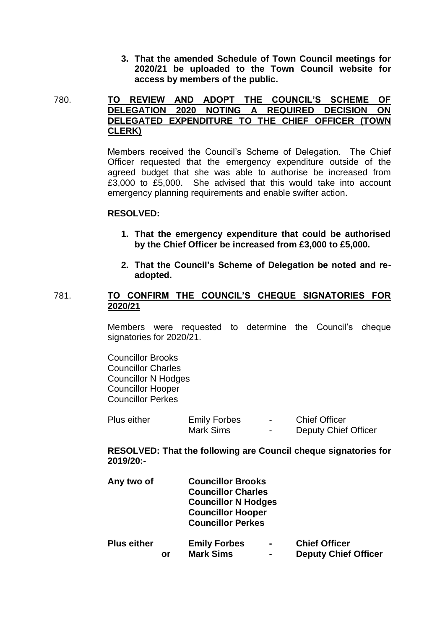**3. That the amended Schedule of Town Council meetings for 2020/21 be uploaded to the Town Council website for access by members of the public.**

780. **TO REVIEW AND ADOPT THE COUNCIL'S SCHEME OF DELEGATION 2020 NOTING A REQUIRED DECISION ON DELEGATED EXPENDITURE TO THE CHIEF OFFICER (TOWN CLERK)**

> Members received the Council's Scheme of Delegation. The Chief Officer requested that the emergency expenditure outside of the agreed budget that she was able to authorise be increased from £3,000 to £5,000. She advised that this would take into account emergency planning requirements and enable swifter action.

#### **RESOLVED:**

- **1. That the emergency expenditure that could be authorised by the Chief Officer be increased from £3,000 to £5,000.**
- **2. That the Council's Scheme of Delegation be noted and readopted.**

### 781. **TO CONFIRM THE COUNCIL'S CHEQUE SIGNATORIES FOR 2020/21**

Members were requested to determine the Council's cheque signatories for 2020/21.

Councillor Brooks Councillor Charles Councillor N Hodges Councillor Hooper Councillor Perkes

| <b>Plus either</b> | <b>Emily Forbes</b> | $\sim$ | <b>Chief Officer</b>        |
|--------------------|---------------------|--------|-----------------------------|
|                    | Mark Sims           | $\sim$ | <b>Deputy Chief Officer</b> |

**RESOLVED: That the following are Council cheque signatories for 2019/20:-**

| Any two of         |    | <b>Councillor Brooks</b><br><b>Councillor Charles</b><br><b>Councillor N Hodges</b><br><b>Councillor Hooper</b><br><b>Councillor Perkes</b> |                                  |                                                     |
|--------------------|----|---------------------------------------------------------------------------------------------------------------------------------------------|----------------------------------|-----------------------------------------------------|
| <b>Plus either</b> | or | <b>Emily Forbes</b><br><b>Mark Sims</b>                                                                                                     | $\blacksquare$<br>$\blacksquare$ | <b>Chief Officer</b><br><b>Deputy Chief Officer</b> |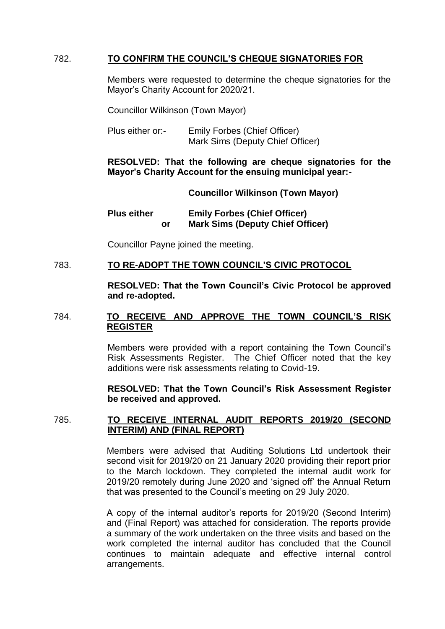# 782. **TO CONFIRM THE COUNCIL'S CHEQUE SIGNATORIES FOR**

Members were requested to determine the cheque signatories for the Mayor's Charity Account for 2020/21.

Councillor Wilkinson (Town Mayor)

Plus either or:- Emily Forbes (Chief Officer) Mark Sims (Deputy Chief Officer)

**RESOLVED: That the following are cheque signatories for the Mayor's Charity Account for the ensuing municipal year:-**

**Councillor Wilkinson (Town Mayor)**

**Plus either Emily Forbes (Chief Officer) or Mark Sims (Deputy Chief Officer)**

Councillor Payne joined the meeting.

#### 783. **TO RE-ADOPT THE TOWN COUNCIL'S CIVIC PROTOCOL**

**RESOLVED: That the Town Council's Civic Protocol be approved and re-adopted.**

### 784. **TO RECEIVE AND APPROVE THE TOWN COUNCIL'S RISK REGISTER**

Members were provided with a report containing the Town Council's Risk Assessments Register. The Chief Officer noted that the key additions were risk assessments relating to Covid-19.

**RESOLVED: That the Town Council's Risk Assessment Register be received and approved.**

#### 785. **TO RECEIVE INTERNAL AUDIT REPORTS 2019/20 (SECOND INTERIM) AND (FINAL REPORT)**

Members were advised that Auditing Solutions Ltd undertook their second visit for 2019/20 on 21 January 2020 providing their report prior to the March lockdown. They completed the internal audit work for 2019/20 remotely during June 2020 and 'signed off' the Annual Return that was presented to the Council's meeting on 29 July 2020.

A copy of the internal auditor's reports for 2019/20 (Second Interim) and (Final Report) was attached for consideration. The reports provide a summary of the work undertaken on the three visits and based on the work completed the internal auditor has concluded that the Council continues to maintain adequate and effective internal control arrangements.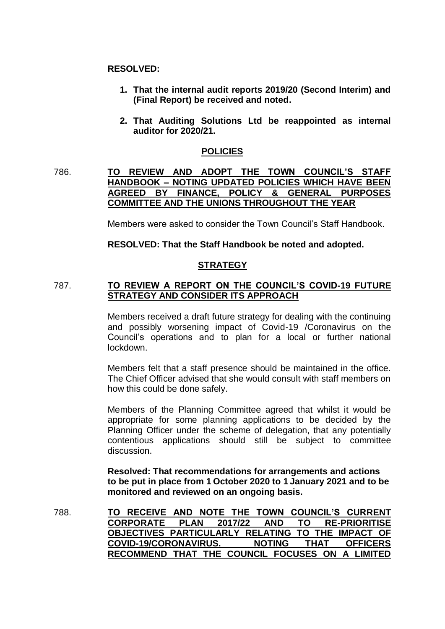#### **RESOLVED:**

- **1. That the internal audit reports 2019/20 (Second Interim) and (Final Report) be received and noted.**
- **2. That Auditing Solutions Ltd be reappointed as internal auditor for 2020/21.**

### **POLICIES**

# 786. **TO REVIEW AND ADOPT THE TOWN COUNCIL'S STAFF HANDBOOK – NOTING UPDATED POLICIES WHICH HAVE BEEN AGREED BY FINANCE, POLICY & GENERAL PURPOSES COMMITTEE AND THE UNIONS THROUGHOUT THE YEAR**

Members were asked to consider the Town Council's Staff Handbook.

### **RESOLVED: That the Staff Handbook be noted and adopted.**

# **STRATEGY**

#### 787. **TO REVIEW A REPORT ON THE COUNCIL'S COVID-19 FUTURE STRATEGY AND CONSIDER ITS APPROACH**

Members received a draft future strategy for dealing with the continuing and possibly worsening impact of Covid-19 /Coronavirus on the Council's operations and to plan for a local or further national lockdown.

Members felt that a staff presence should be maintained in the office. The Chief Officer advised that she would consult with staff members on how this could be done safely.

Members of the Planning Committee agreed that whilst it would be appropriate for some planning applications to be decided by the Planning Officer under the scheme of delegation, that any potentially contentious applications should still be subject to committee discussion.

**Resolved: That recommendations for arrangements and actions to be put in place from 1 October 2020 to 1 January 2021 and to be monitored and reviewed on an ongoing basis.**

788. **TO RECEIVE AND NOTE THE TOWN COUNCIL'S CURRENT CORPORATE PLAN 2017/22 AND TO RE-PRIORITISE OBJECTIVES PARTICULARLY RELATING TO THE IMPACT OF COVID-19/CORONAVIRUS. NOTING THAT OFFICERS RECOMMEND THAT THE COUNCIL FOCUSES ON A LIMITED**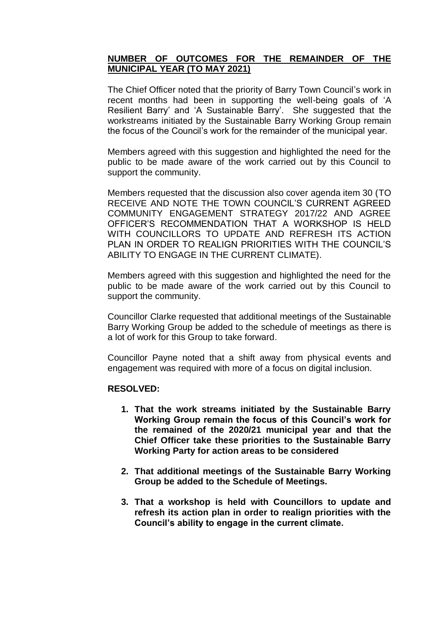# **NUMBER OF OUTCOMES FOR THE REMAINDER OF THE MUNICIPAL YEAR (TO MAY 2021)**

The Chief Officer noted that the priority of Barry Town Council's work in recent months had been in supporting the well-being goals of 'A Resilient Barry' and 'A Sustainable Barry'. She suggested that the workstreams initiated by the Sustainable Barry Working Group remain the focus of the Council's work for the remainder of the municipal year.

Members agreed with this suggestion and highlighted the need for the public to be made aware of the work carried out by this Council to support the community.

Members requested that the discussion also cover agenda item 30 (TO RECEIVE AND NOTE THE TOWN COUNCIL'S CURRENT AGREED COMMUNITY ENGAGEMENT STRATEGY 2017/22 AND AGREE OFFICER'S RECOMMENDATION THAT A WORKSHOP IS HELD WITH COUNCILLORS TO UPDATE AND REFRESH ITS ACTION PLAN IN ORDER TO REALIGN PRIORITIES WITH THE COUNCIL'S ABILITY TO ENGAGE IN THE CURRENT CLIMATE).

Members agreed with this suggestion and highlighted the need for the public to be made aware of the work carried out by this Council to support the community.

Councillor Clarke requested that additional meetings of the Sustainable Barry Working Group be added to the schedule of meetings as there is a lot of work for this Group to take forward.

Councillor Payne noted that a shift away from physical events and engagement was required with more of a focus on digital inclusion.

#### **RESOLVED:**

- **1. That the work streams initiated by the Sustainable Barry Working Group remain the focus of this Council's work for the remained of the 2020/21 municipal year and that the Chief Officer take these priorities to the Sustainable Barry Working Party for action areas to be considered**
- **2. That additional meetings of the Sustainable Barry Working Group be added to the Schedule of Meetings.**
- **3. That a workshop is held with Councillors to update and refresh its action plan in order to realign priorities with the Council's ability to engage in the current climate.**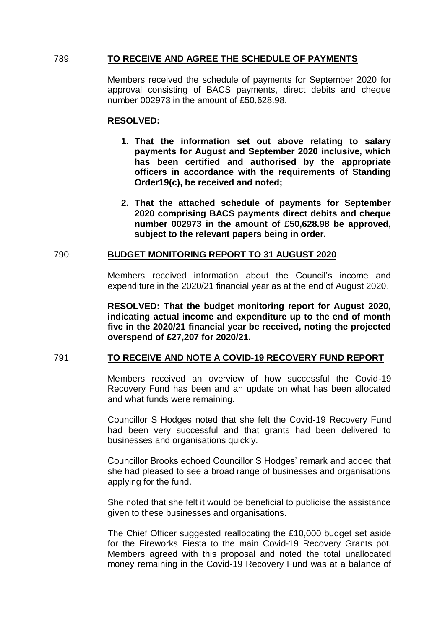# 789. **TO RECEIVE AND AGREE THE SCHEDULE OF PAYMENTS**

Members received the schedule of payments for September 2020 for approval consisting of BACS payments, direct debits and cheque number 002973 in the amount of £50,628.98.

#### **RESOLVED:**

- **1. That the information set out above relating to salary payments for August and September 2020 inclusive, which has been certified and authorised by the appropriate officers in accordance with the requirements of Standing Order19(c), be received and noted;**
- **2. That the attached schedule of payments for September 2020 comprising BACS payments direct debits and cheque number 002973 in the amount of £50,628.98 be approved, subject to the relevant papers being in order.**

#### 790. **BUDGET MONITORING REPORT TO 31 AUGUST 2020**

Members received information about the Council's income and expenditure in the 2020/21 financial year as at the end of August 2020.

**RESOLVED: That the budget monitoring report for August 2020, indicating actual income and expenditure up to the end of month five in the 2020/21 financial year be received, noting the projected overspend of £27,207 for 2020/21.**

#### 791. **TO RECEIVE AND NOTE A COVID-19 RECOVERY FUND REPORT**

Members received an overview of how successful the Covid-19 Recovery Fund has been and an update on what has been allocated and what funds were remaining.

Councillor S Hodges noted that she felt the Covid-19 Recovery Fund had been very successful and that grants had been delivered to businesses and organisations quickly.

Councillor Brooks echoed Councillor S Hodges' remark and added that she had pleased to see a broad range of businesses and organisations applying for the fund.

She noted that she felt it would be beneficial to publicise the assistance given to these businesses and organisations.

The Chief Officer suggested reallocating the £10,000 budget set aside for the Fireworks Fiesta to the main Covid-19 Recovery Grants pot. Members agreed with this proposal and noted the total unallocated money remaining in the Covid-19 Recovery Fund was at a balance of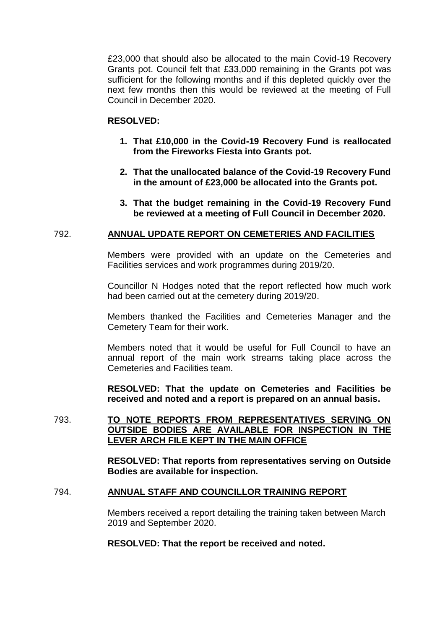£23,000 that should also be allocated to the main Covid-19 Recovery Grants pot. Council felt that £33,000 remaining in the Grants pot was sufficient for the following months and if this depleted quickly over the next few months then this would be reviewed at the meeting of Full Council in December 2020.

#### **RESOLVED:**

- **1. That £10,000 in the Covid-19 Recovery Fund is reallocated from the Fireworks Fiesta into Grants pot.**
- **2. That the unallocated balance of the Covid-19 Recovery Fund in the amount of £23,000 be allocated into the Grants pot.**
- **3. That the budget remaining in the Covid-19 Recovery Fund be reviewed at a meeting of Full Council in December 2020.**

#### 792. **ANNUAL UPDATE REPORT ON CEMETERIES AND FACILITIES**

Members were provided with an update on the Cemeteries and Facilities services and work programmes during 2019/20.

Councillor N Hodges noted that the report reflected how much work had been carried out at the cemetery during 2019/20.

Members thanked the Facilities and Cemeteries Manager and the Cemetery Team for their work.

Members noted that it would be useful for Full Council to have an annual report of the main work streams taking place across the Cemeteries and Facilities team.

**RESOLVED: That the update on Cemeteries and Facilities be received and noted and a report is prepared on an annual basis.**

793. **TO NOTE REPORTS FROM REPRESENTATIVES SERVING ON OUTSIDE BODIES ARE AVAILABLE FOR INSPECTION IN THE LEVER ARCH FILE KEPT IN THE MAIN OFFICE**

> **RESOLVED: That reports from representatives serving on Outside Bodies are available for inspection.**

#### 794. **ANNUAL STAFF AND COUNCILLOR TRAINING REPORT**

Members received a report detailing the training taken between March 2019 and September 2020.

**RESOLVED: That the report be received and noted.**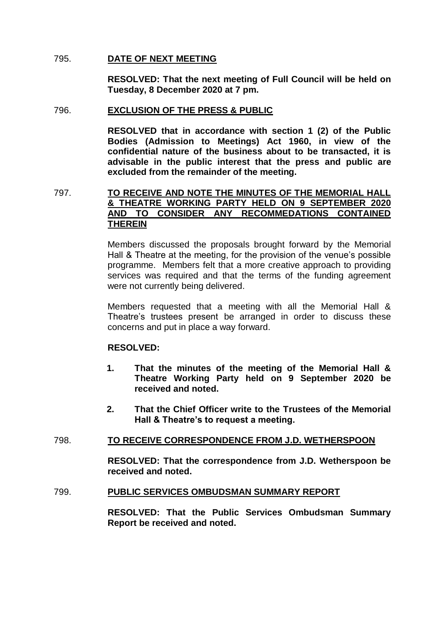### 795. **DATE OF NEXT MEETING**

**RESOLVED: That the next meeting of Full Council will be held on Tuesday, 8 December 2020 at 7 pm.**

#### 796. **EXCLUSION OF THE PRESS & PUBLIC**

**RESOLVED that in accordance with section 1 (2) of the Public Bodies (Admission to Meetings) Act 1960, in view of the confidential nature of the business about to be transacted, it is advisable in the public interest that the press and public are excluded from the remainder of the meeting.**

### 797. **TO RECEIVE AND NOTE THE MINUTES OF THE MEMORIAL HALL & THEATRE WORKING PARTY HELD ON 9 SEPTEMBER 2020 AND TO CONSIDER ANY RECOMMEDATIONS CONTAINED THEREIN**

Members discussed the proposals brought forward by the Memorial Hall & Theatre at the meeting, for the provision of the venue's possible programme. Members felt that a more creative approach to providing services was required and that the terms of the funding agreement were not currently being delivered.

Members requested that a meeting with all the Memorial Hall & Theatre's trustees present be arranged in order to discuss these concerns and put in place a way forward.

#### **RESOLVED:**

- **1. That the minutes of the meeting of the Memorial Hall & Theatre Working Party held on 9 September 2020 be received and noted.**
- **2. That the Chief Officer write to the Trustees of the Memorial Hall & Theatre's to request a meeting.**

# 798. **TO RECEIVE CORRESPONDENCE FROM J.D. WETHERSPOON**

**RESOLVED: That the correspondence from J.D. Wetherspoon be received and noted.**

#### 799. **PUBLIC SERVICES OMBUDSMAN SUMMARY REPORT**

**RESOLVED: That the Public Services Ombudsman Summary Report be received and noted.**